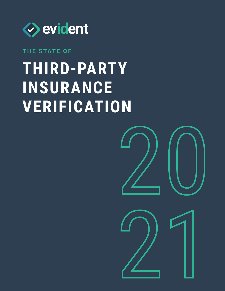

### **THE STATE OF**

## **Third-party insurance verification**

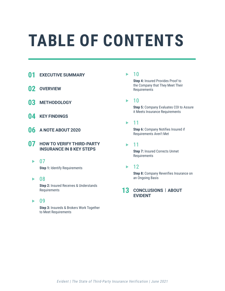## **Table of contents**

- **01 Executive summary**
- **02 Overview**
- **03 Methodology**
- **04 Key findings**
- **06 A note about 2020**
- **07 How to verify third-party insurance in 8 key steps**
	- $\blacktriangleright$  07

**Step 1:** Identify Requirements

▶ 08

 **Step 2:** Insured Receives & Understands Requirements

09  $\blacktriangleright$ 

> **Step 3:** Insureds & Brokers Work Together to Meet Requirements

#### 10

 **Step 4:** Insured Provides Proof to the Company that They Meet Their Requirements

10 ь

> **Step 5:** Company Evaluates COI to Assure it Meets Insurance Requirements

#### 11 ь

 **Step 6:** Company Notifies Insured if Requirements Aren't Met

11 ь

> **Step 7: Insured Corrects Unmet** Requirements

#### ь 12

 **Step 8:** Company Reverifies Insurance on an Ongoing Basis

#### **13 Conclusions | about evident**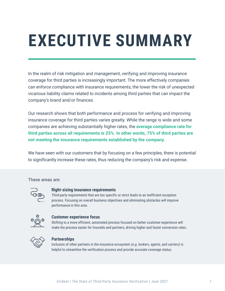# **EXECUTIVE SUMMARY**

In the realm of risk mitigation and management, verifying and improving insurance coverage for third parties is increasingly important. The more effectively companies can enforce compliance with insurance requirements, the lower the risk of unexpected vicarious liability claims related to incidents among third parties that can impact the company's brand and/or finances.

Our research shows that both performance and process for verifying and improving insurance coverage for third parties varies greatly. While the range is wide and some companies are achieving substantially higher rates, the **average compliance rate for third parties across all requirements is 25%. In other words, 75% of third parties are not meeting the insurance requirements established by the company.**

We have seen with our customers that by focusing on a few principles, there is potential to significantly increase these rates, thus reducing the company's risk and expense.

These areas are:



#### **Right-sizing insurance requirements**

Third-party requirements that are too specific or strict leads to an inefficient exception process. Focusing on overall business objectives and eliminating obstacles will improve performance in this area.



#### **Customer experience focus**

Shifting to a more efficient, automated process focused on better customer experience will make the process easier for Insureds and partners, driving higher and faster conversion rates.



#### **Partnerships**

Inclusion of other partners in the insurance ecosystem *(e.g. brokers, agents, and carriers)* is helpful to streamline the verification process and provide accurate coverage status.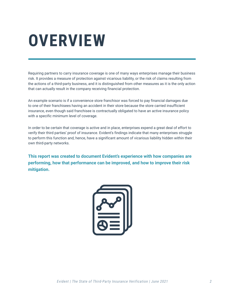## **Overview**

Requiring partners to carry insurance coverage is one of many ways enterprises manage their business risk. It provides a measure of protection against vicarious liability, or the risk of claims resulting from the actions of a third-party business, and it is distinguished from other measures as it is the only action that can actually result in the company receiving financial protection.

An example scenario is if a convenience store franchisor was forced to pay financial damages due to one of their franchisees having an accident in their store because the store carried insufficient insurance, even though said franchisee is contractually obligated to have an active insurance policy with a specific minimum level of coverage.

In order to be certain that coverage is active and in place, enterprises expend a great deal of effort to verify their third parties' proof of insurance. Evident's findings indicate that many enterprises struggle to perform this function and, hence, have a significant amount of vicarious liability hidden within their own third-party networks.

**This report was created to document Evident's experience with how companies are performing, how that performance can be improved, and how to improve their risk mitigation.**

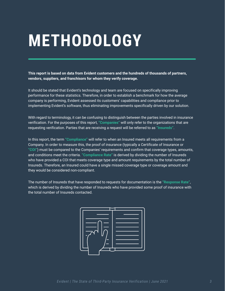## **Methodology**

**This report is based on data from Evident customers and the hundreds of thousands of partners, vendors, suppliers, and franchisors for whom they verify coverage.**

It should be stated that Evident's technology and team are focused on specifically improving performance for these statistics. Therefore, in order to establish a benchmark for how the average company is performing, Evident assessed its customers' capabilities and compliance prior to implementing Evident's software, thus eliminating improvements specifically driven by our solution.

With regard to terminology, it can be confusing to distinguish between the parties involved in insurance verification. For the purposes of this report, **"Companies"** will only refer to the organizations that are requesting verification. Parties that are receiving a request will be referred to as **"Insureds"**.

In this report, the term **"Compliance"** will refer to when an Insured meets all requirements from a Company. In order to measure this, the proof of insurance (typically a Certificate of Insurance or **"COI"**) must be compared to the Companies' requirements and confirm that coverage types, amounts, and conditions meet the criteria. **"Compliance Rate"** is derived by dividing the number of Insureds who have provided a COI that meets coverage type and amount requirements by the total number of Insureds. Therefore, an Insured could have a single missed coverage type or coverage amount and they would be considered non-compliant.

The number of Insureds that have responded to requests for documentation is the **"Response Rate"**, which is derived by dividing the number of Insureds who have provided some proof of insurance with the total number of Insureds contacted.

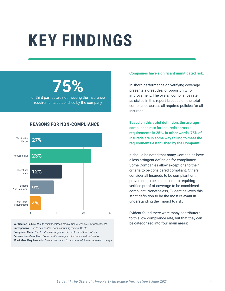## **Key findings**

## **75%**

of third parties are not meeting the insurance requirements established by the company

#### **Reasons for non-compliance**



**Verification Failure:** *Due to misunderstood requirements, weak review process, etc.* **Unresponsive:** *Due to bad contact data, confusing request UI, etc.* **Exceptions Made:** *Due to infeasible requirements, no Insured-level criteria* **Became Non-Compliant:** *Some or all coverage expired since last verification* **Won't Meet Requirements:** *Insured chose not to purchase additional required coverage*

#### **Companies have significant unmitigated risk.**

In short, performance on verifying coverage presents a great deal of opportunity for improvement. The overall compliance rate as stated in this report is based on the total compliance across all required policies for all Insureds.

**Based on this strict definition, the average compliance rate for Insureds across all requirements is 25%. In other words, 75% of Insureds are in some way failing to meet the requirements established by the Company.**

It should be noted that many Companies have a less stringent definition for compliance. Some Companies allow exceptions to their criteria to be considered compliant. Others consider all Insureds to be compliant until proven not to be as opposed to requiring verified proof of coverage to be considered compliant. Nonetheless, Evident believes this strict definition to be the most relevant in understanding the impact to risk.

Evident found there were many contributors to this low compliance rate, but that they can be categorized into four main areas: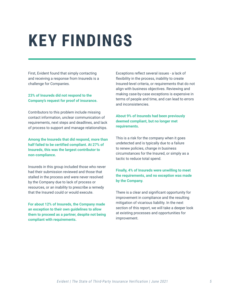## **Key findings**

First, Evident found that simply contacting and receiving a response from Insureds is a challenge for Companies.

#### **23% of Insureds did not respond to the Company's request for proof of insurance.**

Contributors to this problem include missing contact information, unclear communication of requirements, next steps and deadlines, and lack of process to support and manage relationships.

**Among the Insureds that did respond, more than half failed to be certified compliant. At 27% of Insureds, this was the largest contributor to non-compliance.**

Insureds in this group included those who never had their submission reviewed and those that stalled in the process and were never resolved by the Company due to lack of process or resources, or an inability to prescribe a remedy that the Insured could or would execute.

**For about 12% of Insureds, the Company made an exception to their own guidelines to allow them to proceed as a partner, despite not being compliant with requirements.**

Exceptions reflect several issues - a lack of flexibility in the process, inability to create Insured-level criteria, or requirements that do not align with business objectives. Reviewing and making case-by-case exceptions is expensive in terms of people and time, and can lead to errors and inconsistencies.

#### **About 9% of Insureds had been previously deemed compliant, but no longer met requirements.**

This is a risk for the company when it goes undetected and is typically due to a failure to renew policies, change in business circumstances for the Insured, or simply as a tactic to reduce total spend.

#### **Finally, 4% of Insureds were unwilling to meet the requirements, and no exception was made by the Company.**

There is a clear and significant opportunity for improvement in compliance and the resulting mitigation of vicarious liability. In the next section of this report, we will take a deeper look at existing processes and opportunities for improvement.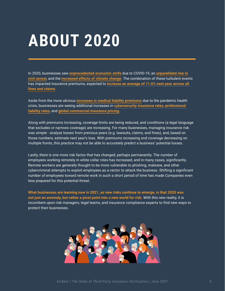## **About 2020**

In 2020, businesses saw **[unprecedented economic strife](https://www.claimsjournal.com/news/national/2021/03/30/302814.htm)** due to COVID-19, an **[unparalleled rise in](https://www.claimsjournal.com/news/national/2021/03/30/302814.htm)  [civil unrest](https://www.claimsjournal.com/news/national/2021/03/30/302814.htm)**, and the **[increased effects of climate change](https://www.natlawreview.com/article/future-climate-change-risk-regulation-insurers-america)**. The combination of these turbulent events has impacted insurance premiums, expected to **[increase an average of 11.6% next year across all](https://www.businessinsurance.com/article/20201222/NEWS06/912338652/Commercial-insurance-rates-set-to-continue-rising-in-2021)  [lines and claims](https://www.businessinsurance.com/article/20201222/NEWS06/912338652/Commercial-insurance-rates-set-to-continue-rising-in-2021)**.

Aside from the more obvious **[increases in medical liability premiums](https://www.mcknights.com/news/medical-liability-premiums-increase-by-highest-rate-in-15-years/)** due to the pandemic health crisis, businesses are seeing additional increases in **[cybersecurity insurance rates](https://www.insurancebusinessmag.com/us/news/professional-liability/rate-increases-rife-in-ae-professional-liability-market-250343.aspx)**, **[professional](https://www.insurancebusinessmag.com/us/news/professional-liability/rate-increases-rife-in-ae-professional-liability-market-250343.aspx)  [liability rates](https://www.insurancebusinessmag.com/us/news/professional-liability/rate-increases-rife-in-ae-professional-liability-market-250343.aspx)**, and **[global commercial insurance pricing](https://www.propertycasualty360.com/2021/03/02/global-commercial-insurance-pricing-up-across-lines-in-q4/?slreturn=20210230101228)**.

Along with premiums increasing, coverage limits are being reduced, and conditions (a legal language that excludes or narrows coverage) are increasing. For many businesses, managing insurance risk was simple - analyze losses from previous years (e.g. lawsuits, claims, and fines), and, based on those numbers, estimate next year's loss. With premiums increasing and coverage decreasing on multiple fronts, this practice may not be able to accurately predict a business' potential losses.

Lastly, there is one more risk factor that has changed, perhaps permanently. The number of employees working remotely in white collar roles has increased, and in many cases, significantly. Remote workers are generally thought to be more vulnerable to phishing, malware, and other cybercriminal attempts to exploit employees as a vector to attack the business. Shifting a significant number of employees toward remote work in such a short period of time has made Companies even less prepared for this potential threat.

**What businesses are learning now in 2021, as new risks continue to emerge, is that 2020 was not just an anomaly, but rather a pivot point into a new world for risk.** With this new reality, it is incumbent upon risk managers, legal teams, and insurance compliance experts to find new ways to protect their businesses.

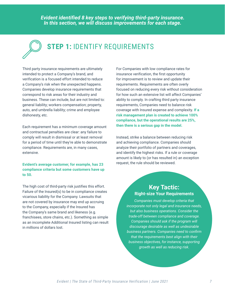*Evident identified 8 key steps to verifying third-party insurance. In this section, we will discuss improvements for each stage.*



## **STEP 1: IDENTIFY REQUIREMENTS**

Third party insurance requirements are ultimately intended to protect a Company's brand, and verification is a focused effort intended to reduce a Company's risk when the unexpected happens. Companies develop insurance requirements that correspond to risk areas for their industry and business. These can include, but are not limited to: general liability; workers compensation; property, auto, and umbrella liability; crime and employee dishonesty, etc.

Each requirement has a minimum coverage amount and contractual penalties are clear: any failure to comply will result in dismissal or at least removal for a period of time until they're able to demonstrate compliance. Requirements are, in many cases, extensive.

#### **Evident's average customer, for example, has 23 compliance criteria but some customers have up to 50.**

The high cost of third-party risk justifies this effort. Failure of the Insured(s) to be in compliance creates vicarious liability for the Company. Lawsuits that are not covered by insurance may end up accruing to the Company, especially if the Insured has the Company's same brand and likeness (e.g. franchisees, store chains, etc.). Something as simple as an incomplete Additional Insured listing can result in millions of dollars lost.

For Companies with low compliance rates for insurance verification, the first opportunity for improvement is to review and update their requirements. Requirements are often overly focused on reducing every risk without consideration for how such an extensive list will affect Companies' ability to comply. In crafting third party insurance requirements, Companies need to balance risk coverage with Insured expense and complexity. **If a risk management plan is created to achieve 100% compliance, but the operational results are 25%, then there is a serious gap in the model.**

Instead, strike a balance between reducing risk and achieving compliance. Companies should analyze their portfolio of partners and coverages, and identify the highest risks. If a rule or coverage amount is likely to (or has resulted in) an exception request, the rule should be reviewed.

#### **Key Tactic: Right-size Your Requirements**

*Companies must develop criteria that incorporate not only legal and insurance needs, but also business operations. Consider the trade-off between compliance and coverage. Companies should ask if the program will discourage desirable as well as undesirable business partners. Companies need to confirm that the requirements best align with their business objectives, for instance, supporting growth as well as reducing risk.*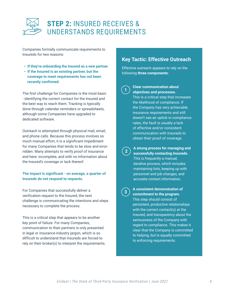

Companies formally communicate requirements to Insureds for two reasons:

- **• If they're onboarding the Insured as a new partner.**
- **• If the Insured is an existing partner, but the coverage to meet requirements has not been recently confirmed.**

The first challenge for Companies is the most basic - identifying the correct contact for the Insured and the best way to reach them. Tracking is typically done through calendar reminders or spreadsheets, although some Companies have upgraded to dedicated software.

Outreach is attempted through physical mail, email, and phone calls. Because this process involves so much manual effort, it is a significant impediment for many Companies that tends to be slow and errorridden. Many attempts to verify proof of insurance end here: incomplete, and with no information about the Insured's coverage or lack thereof.

#### **The impact is significant - on average, a quarter of Insureds do not respond to requests.**

For Companies that successfully deliver a verification request to the Insured, the next challenge is communicating the intentions and steps necessary to complete the process.

This is a critical step that appears to be another key point of failure. For many Companies, communication to their partners is only presented in legal or insurance-industry jargon, which is so difficult to understand that Insureds are forced to rely on their broker(s) to interpret the requirements.

#### **Key Tactic: Effective Outreach**

Effective outreach appears to rely on the following **three components**:

**1**

#### **Clear communication about objectives and processes.**

This is a critical step that increases the likelihood of compliance. If the Company has very achievable insurance requirements and still doesn't see an uptick in compliance rates, the fault is usually a lack of effective and/or consistent communication with Insureds to obtain their proof of coverage.

**2**

**A strong process for managing and successfully contacting Insureds.**  This is frequently a manual, iterative process, which includes maintaining lists, keeping up with personnel and job changes, and accurate contact information.

**3**

#### **A consistent demonstration of commitment to the program.**

This step should consist of persistent, productive relationships with the correct contact(s) at the Insured, and transparency about the seriousness of the Company with regard to compliance. This makes it clear that the Company is committed to helping, but is equally committed to enforcing requirements.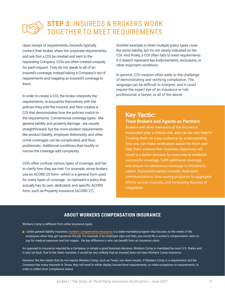## **Step 3:** Insureds & Brokers Work Together to Meet Requirements

Upon receipt of requirements, Insureds typically contact their broker, share the corporate requirements, and ask that a COI be created and sent to the requesting Company. COIs are often created uniquely for each request. They do not speak to all of an Insured's coverage, instead taking a Company's set of requirements and mapping an Insured's coverage to them.

In order to create a COI, the broker interprets the requirements, re-acquaints themselves with the policies they sold the Insured, and then creates a COI that demonstrates how the policies match to the requirements. Conventional coverage types - like general liability and property damage - are usually straightforward, but the more esoteric requirements like product liability, employee dishonesty, and other crime coverages can be complicated, and thus, problematic. Additional conditions that modify or narrow the coverage add complexity.

COIs often confuse various types of coverage, and fail to clarify how they are met. For example, some brokers use an ACORD 25 form - which is a general form used for many types of coverage - to represent a policy that actually has its own, dedicated, and specific ACORD form, such as Property Insurance (ACORD 27).

Another example is when multiple policy types cover the same liability, but it's not clearly indicated on the COI. And finally, a COI often fails to meet requirements if it doesn't represent key endorsements, exclusions, or other important conditions.

In general, COI creation often adds to the challenge of demonstrating and verifying compliance. The language can be difficult to interpret, and it could require the expert eye of an insurance or risk professional, a lawyer, or all of the above.

### **Key Tactic:**

### **Treat Brokers and Agents as Partners**

Brokers and other members of the insurance ecosystem play a critical role, and can be very helpful. Treating them as a key audience by understanding how you can make verification easier for them and help them achieve their business objectives will result in a better process for everyone to establish successful coverage, fulfill additional coverage, and ensure no extraneous coverage is mistakenly added. Successful tactics include: dedicated communications, time-saving programs to aggregate efforts across Insureds, and increasing degrees of integration.

#### **About workers compensation insurance**

Workers Comp is different from other insurance types.

 *Unlike general liability insurance, [worker's compensation insurance](https://www.ehealthinsurance.com/resources/small-business/whats-difference-general-liability-insurance-workers-compensation-insurance) is a state-mandated program that focuses on the needs of the employees when they get injured on the job. For example, if an employee slips and falls, you would file a worker's compensation claim to pay for medical expenses and lost wages… the key difference is who can benefit from an insurance claim.*

As opposed to insurance required by a Company, or simply a good business decision, Workers Comp is mandated by most U.S. States and is also no-fault. Due to the State mandate, it would be very unlikely that an Insured does not have Workers Comp insurance.

However, the few states that do not require Workers Comp, such as Texas, can skew results. If Workers Comp is a requirement, but the Company has many Insureds in Texas, they will need to either deploy Insured-level requirements, or make exceptions to requirements, in order to reflect their compliance status.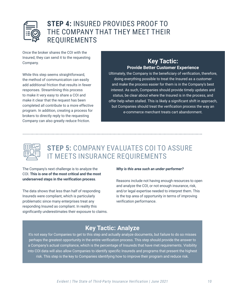

### **Step 4:** Insured Provides Proof to the Company that They Meet Their **REQUIREMENTS**

Once the broker shares the COI with the Insured, they can send it to the requesting Company.

While this step seems straightforward, the method of communication can easily add additional friction that results in fewer responses. Streamlining this process to make it very easy to share a COI and make it clear that the request has been completed all contribute to a more effective program. In addition, creating a process for brokers to directly reply to the requesting Company can also greatly reduce friction.

#### **Key Tactic: Provide Better Customer Experience**

Ultimately, the Company is the beneficiary of verification, therefore, doing everything possible to treat the Insured as a customer and make the process easier for them is in the Company's best interest. As such, Companies should provide timely updates and status, be clear about where the Insured is in the process, and offer help when stalled. This is likely a significant shift in approach, but Companies should treat the verification process the way an e-commerce merchant treats cart abandonment.



## **Step 5:** Company Evaluates COI to Assure it Meets Insurance Requirements

The Company's next challenge is to analyze the COI. **This is one of the most critical and the most underserved steps in the verification process**.

The data shows that less than half of responding Insureds were compliant, which is particularly problematic since many enterprises treat any responding Insured as compliant. In reality this significantly underestimates their exposure to claims.

#### *Why is this area such an under-performer?*

Reasons include not having enough resources to open and analyze the COI, or not enough insurance, risk, and/or legal expertise needed to interpret them. This is the top area of opportunity in terms of improving verification performance.

### **Key Tactic: Analyze**

It's not easy for Companies to get to this step and actually analyze documents, but failure to do so misses perhaps the greatest opportunity in the entire verification process. This step should provide the answer to a Company's actual compliance, which is the percentage of Insureds that have met requirements. Visibility into COI data will also allow Companies to identify specific Insureds and programs that present the highest risk. This step is the key to Companies identifying how to improve their program and reduce risk.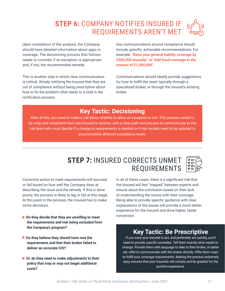## **Step 6:** Company Notifies Insured if Requirements Aren't Met

Upon completion of the analysis, the Company should have detailed information about gaps in coverage. The decisioning process that follows needs to consider if an exception is appropriate and, if not, the recommended remedy.

This is another step in which clear communication is critical. Simply notifying the Insured that they are out of compliance without being prescriptive about how to fix the problem often leads to a stall in the verification process.

Any communications around compliance should include specific, actionable recommendations. For example: *"Raise your general liability coverage by \$500,000 annually;" or "Add fraud coverage in the amount of \$1,000,000."*

Communications should ideally provide suggestions for how to fulfill the need, typically through a specialized broker, or through the Insured's existing broker.

### **Key Tactic: Decisioning**

After all this, you need to make a call about whether to allow an exception or not. This process needs to be crisp and consistent from one Insured to another, with a clear path and process to communicate to the risk team who must decide if a change to requirements is needed or if risk models need to be updated to accommodate different compliance levels.

### **STEP 7: INSURED CORRECTS UNMET REQUIREMENTS**

Corrective action to meet requirements will succeed or fail based on how well the Company does at describing the issue and the remedy. If this is done poorly, the process is likely to lag or fail at this stage. At this point in the process, the Insured has to make some decisions.

- ▶ Do they decide that they are unwilling to meet  **the requirements and risk being excluded from the Company's program?**
- **Do they believe they should have met the requirements and that their broker failed to deliver an accurate COI?**
- **Or, do they need to make adjustments to their policy that may or may not beget additional costs?**

In all of these cases, there is a significant risk that the Insured will feel "trapped" between experts and unsure about the conclusion based on their lack of understanding the issues with their coverage. Being able to provide specific guidance with clear explanations of the issues will provide a much better experience for the Insured and drive higher, faster conversion.

### **Key Tactic: Be Prescriptive**

If you want your Insured to act, and preferably act quickly, you'll need to provide specific remedies. Tell them exactly what needs to change. Provide them with language to take to their broker, or better yet, offer to communicate with the broker directly. Offer them ways to fulfill your coverage requirements. Making the process extremely easy ensures that your Insureds will comply and be grateful for the positive experience.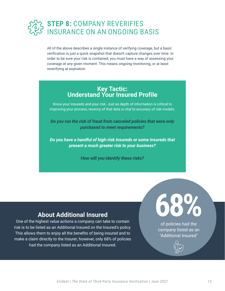

All of the above describes a single instance of verifying coverage, but a basic verification is just a quick snapshot that doesn't capture changes over time. In order to be sure your risk is contained, you must have a way of assessing your coverage at any given moment. This means ongoing monitoring, or at least reverifying at expiration.

#### **Key Tactic: Understand Your Insured Profile**

Know your Insureds and your risk. Just as depth of information is critical to improving your process, recency of that data is vital to accuracy of risk models.

*Do you run the risk of fraud from canceled policies that were only purchased to meet requirements?*

*Do you have a handful of high-risk Insureds or some Insureds that present a much greater risk to your business?*

*How will you identify these risks?*

### **About Additional Insured**

One of the highest value actions a company can take to contain risk is to be listed as an Additional Insured on the Insured's policy. This allows them to enjoy all the benefits of being insured and to make a claim directly to the Insurer; however, only 68% of policies had the company listed as an Additional Insured.

**68%** of policies had the company listed as an "Additional Insured"